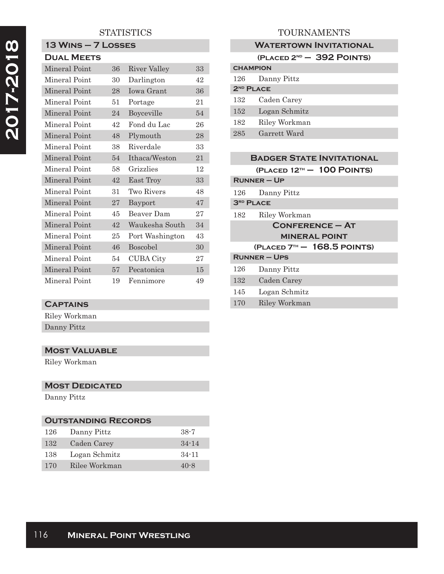# 2017-2018 **2017-2018**

## **STATISTICS**

#### **13 Wins – 7 Losses Dual Meets**

| LJUAL IVIEE IS       |    |                  |    |
|----------------------|----|------------------|----|
| Mineral Point        | 36 | River Valley     | 33 |
| Mineral Point        | 30 | Darlington       | 42 |
| Mineral Point        | 28 | Iowa Grant       | 36 |
| Mineral Point        | 51 | Portage          | 21 |
| Mineral Point        | 24 | Boyceville       | 54 |
| Mineral Point        | 42 | Fond du Lac      | 26 |
| Mineral Point        | 48 | Plymouth         | 28 |
| Mineral Point        | 38 | Riverdale        | 33 |
| <b>Mineral Point</b> | 54 | Ithaca/Weston    | 21 |
| Mineral Point        | 58 | Grizzlies        | 12 |
| Mineral Point        | 42 | East Troy        | 33 |
| Mineral Point        | 31 | Two Rivers       | 48 |
| Mineral Point        | 27 | Bayport          | 47 |
| Mineral Point        | 45 | Beaver Dam       | 27 |
| Mineral Point        | 42 | Waukesha South   | 34 |
| Mineral Point        | 25 | Port Washington  | 43 |
| Mineral Point        | 46 | <b>Boscobel</b>  | 30 |
| Mineral Point        | 54 | <b>CUBA City</b> | 27 |
| Mineral Point        | 57 | Pecatonica       | 15 |
| Mineral Point        | 19 | Fennimore        | 49 |

## **Captains**

Riley Workman Danny Pittz

## **Most Valuable**

Riley Workman

## **MOST DEDICATED**

Danny Pittz

# **Outstanding Records** 126 Danny Pittz 38-7

| 132 | Caden Carey   | $34 - 14$ |
|-----|---------------|-----------|
| 138 | Logan Schmitz | $34 - 11$ |
| 170 | Rilee Workman | $40 - 8$  |

# TOURNAMENTS

## **WATERTOWN INVITATIONAL**

|                       | $(PLACED 2ND - 392 POINTS)$ |
|-----------------------|-----------------------------|
| <b>CHAMPION</b>       |                             |
| 126                   | Danny Pittz                 |
| 2 <sup>ND</sup> PLACE |                             |
| 132                   | Caden Carey                 |
| 152                   | Logan Schmitz               |
| 182                   | Riley Workman               |
| 285                   | Garrett Ward                |

#### **Badger State Invitational**

**(Placed 12th – 100 Points)**

| $RUNNER - UP$                 |               |  |
|-------------------------------|---------------|--|
| 126                           | Danny Pittz   |  |
| 3 <sup>RD</sup> PLACE         |               |  |
| 182                           | Riley Workman |  |
| $CONFERENCE - AT$             |               |  |
| <b>MINERAL POINT</b>          |               |  |
| $(PLACED 7TH - 168.5 POINTS)$ |               |  |
| $RUNNER - UPS$                |               |  |
| 126                           | Danny Pittz   |  |
| 132                           | Caden Carey   |  |
| 145                           | Logan Schmitz |  |
| 170                           | Riley Workman |  |
|                               |               |  |